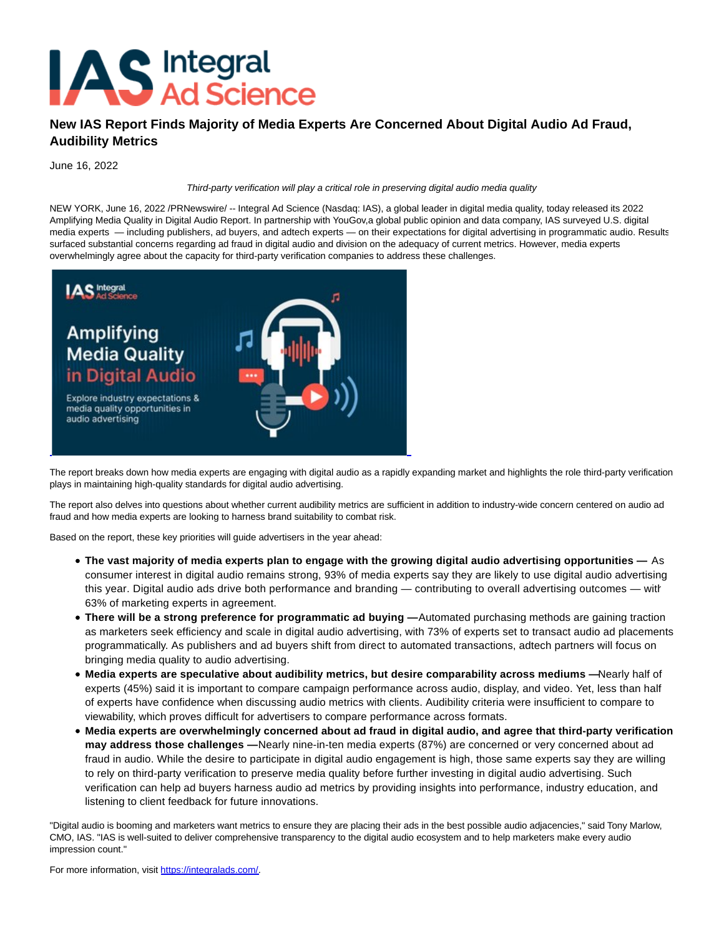

## **New IAS Report Finds Majority of Media Experts Are Concerned About Digital Audio Ad Fraud, Audibility Metrics**

June 16, 2022

Third-party verification will play a critical role in preserving digital audio media quality

NEW YORK, June 16, 2022 /PRNewswire/ -- Integral Ad Science (Nasdaq: IAS), a global leader in digital media quality, today released its 2022 Amplifying Media Quality in Digital Audio Report. In partnership with YouGov,a global public opinion and data company, IAS surveyed U.S. digital media experts — including publishers, ad buyers, and adtech experts — on their expectations for digital advertising in programmatic audio. Results surfaced substantial concerns regarding ad fraud in digital audio and division on the adequacy of current metrics. However, media experts overwhelmingly agree about the capacity for third-party verification companies to address these challenges.



The report breaks down how media experts are engaging with digital audio as a rapidly expanding market and highlights the role third-party verification plays in maintaining high-quality standards for digital audio advertising.

The report also delves into questions about whether current audibility metrics are sufficient in addition to industry-wide concern centered on audio ad fraud and how media experts are looking to harness brand suitability to combat risk.

Based on the report, these key priorities will guide advertisers in the year ahead:

- **The vast majority of media experts plan to engage with the growing digital audio advertising opportunities —** As consumer interest in digital audio remains strong, 93% of media experts say they are likely to use digital audio advertising this year. Digital audio ads drive both performance and branding — contributing to overall advertising outcomes — with 63% of marketing experts in agreement.
- **There will be a strong preference for programmatic ad buying —** Automated purchasing methods are gaining traction as marketers seek efficiency and scale in digital audio advertising, with 73% of experts set to transact audio ad placements programmatically. As publishers and ad buyers shift from direct to automated transactions, adtech partners will focus on bringing media quality to audio advertising.
- **Media experts are speculative about audibility metrics, but desire comparability across mediums** Nearly half of experts (45%) said it is important to compare campaign performance across audio, display, and video. Yet, less than half of experts have confidence when discussing audio metrics with clients. Audibility criteria were insufficient to compare to viewability, which proves difficult for advertisers to compare performance across formats.
- **Media experts are overwhelmingly concerned about ad fraud in digital audio, and agree that third-party verification may address those challenges —** Nearly nine-in-ten media experts (87%) are concerned or very concerned about ad fraud in audio. While the desire to participate in digital audio engagement is high, those same experts say they are willing to rely on third-party verification to preserve media quality before further investing in digital audio advertising. Such verification can help ad buyers harness audio ad metrics by providing insights into performance, industry education, and listening to client feedback for future innovations.

"Digital audio is booming and marketers want metrics to ensure they are placing their ads in the best possible audio adjacencies," said Tony Marlow, CMO, IAS. "IAS is well-suited to deliver comprehensive transparency to the digital audio ecosystem and to help marketers make every audio impression count."

For more information, visit [https://integralads.com/.](https://c212.net/c/link/?t=0&l=en&o=3569073-1&h=454843050&u=https%3A%2F%2Fintegralads.com%2F&a=https%3A%2F%2Fintegralads.com%2F)